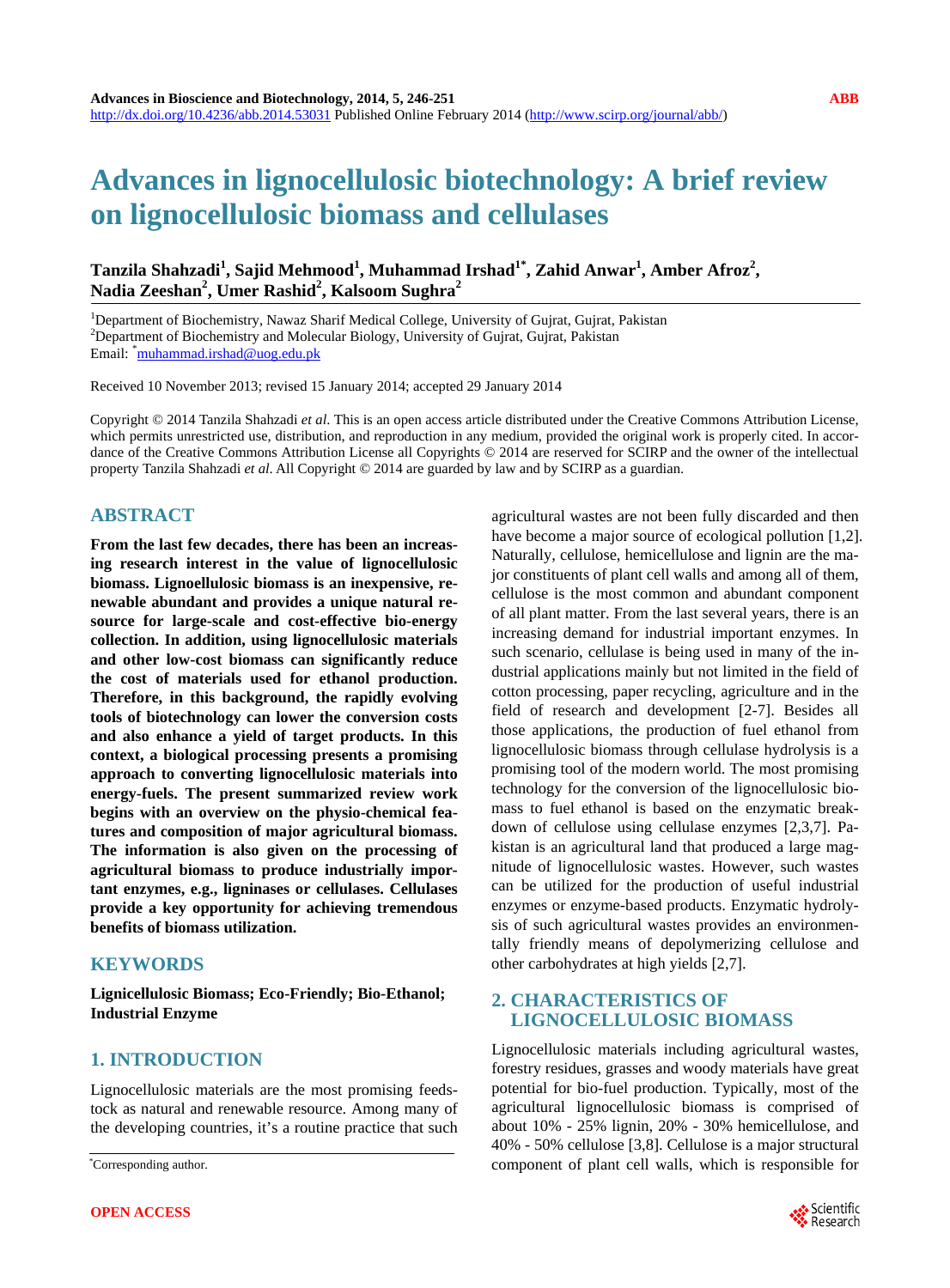# **Advances in lignocellulosic biotechnology: A brief review on lignocellulosic biomass and cellulases**

## $\boldsymbol{\Gamma}$ anzila Shahzadi $^1$ , Sajid Mehmood $^1$ , Muhammad Irshad $^{1*}$ , Zahid Anwar $^1$ , Amber Afroz $^2$ , **Nadia Zeeshan<sup>2</sup> , Umer Rashid<sup>2</sup> , Kalsoom Sughra<sup>2</sup>**

<sup>1</sup>Department of Biochemistry, Nawaz Sharif Medical College, University of Gujrat, Gujrat, Pakistan<br><sup>2</sup>Department of Biochemistry and Molecular Biology, University of Guirat, Gujrat, Pakistan <sup>2</sup>Department of Biochemistry and Molecular Biology, University of Gujrat, Gujrat, Pakistan Email: \*<u>[muhammad.irshad@uog.edu.pk](mailto:muhammad.irshad@uog.edu.pk)</u>

Received 10 November 2013; revised 15 January 2014; accepted 29 January 2014

Copyright © 2014 Tanzila Shahzadi *et al*. This is an open access article distributed under the Creative Commons Attribution License, which permits unrestricted use, distribution, and reproduction in any medium, provided the original work is properly cited. In accordance of the Creative Commons Attribution License all Copyrights © 2014 are reserved for SCIRP and the owner of the intellectual property Tanzila Shahzadi *et al*. All Copyright © 2014 are guarded by law and by SCIRP as a guardian.

#### **ABSTRACT**

**From the last few decades, there has been an increasing research interest in the value of lignocellulosic biomass. Lignoellulosic biomass is an inexpensive, renewable abundant and provides a unique natural resource for large-scale and cost-effective bio-energy collection. In addition, using lignocellulosic materials and other low-cost biomass can significantly reduce the cost of materials used for ethanol production. Therefore, in this background, the rapidly evolving tools of biotechnology can lower the conversion costs and also enhance a yield of target products. In this context, a biological processing presents a promising approach to converting lignocellulosic materials into energy-fuels. The present summarized review work begins with an overview on the physio-chemical features and composition of major agricultural biomass. The information is also given on the processing of agricultural biomass to produce industrially important enzymes, e.g., ligninases or cellulases. Cellulases provide a key opportunity for achieving tremendous benefits of biomass utilization.**

## **KEYWORDS**

**Lignicellulosic Biomass; Eco-Friendly; Bio-Ethanol; Industrial Enzyme**

#### **1. INTRODUCTION**

Lignocellulosic materials are the most promising feedstock as natural and renewable resource. Among many of the developing countries, it's a routine practice that such agricultural wastes are not been fully discarded and then have become a major source of ecological pollution [1,2]. Naturally, cellulose, hemicellulose and lignin are the major constituents of plant cell walls and among all of them, cellulose is the most common and abundant component of all plant matter. From the last several years, there is an increasing demand for industrial important enzymes. In such scenario, cellulase is being used in many of the industrial applications mainly but not limited in the field of cotton processing, paper recycling, agriculture and in the field of research and development [2-7]. Besides all those applications, the production of fuel ethanol from lignocellulosic biomass through cellulase hydrolysis is a promising tool of the modern world. The most promising technology for the conversion of the lignocellulosic biomass to fuel ethanol is based on the enzymatic breakdown of cellulose using cellulase enzymes [2,3,7]. Pakistan is an agricultural land that produced a large magnitude of lignocellulosic wastes. However, such wastes can be utilized for the production of useful industrial enzymes or enzyme-based products. Enzymatic hydrolysis of such agricultural wastes provides an environmentally friendly means of depolymerizing cellulose and other carbohydrates at high yields [2,7].

## **2. CHARACTERISTICS OF LIGNOCELLULOSIC BIOMASS**

Lignocellulosic materials including agricultural wastes, forestry residues, grasses and woody materials have great potential for bio-fuel production. Typically, most of the agricultural lignocellulosic biomass is comprised of about 10% - 25% lignin, 20% - 30% hemicellulose, and 40% - 50% cellulose [3,8]. Cellulose is a major structural component of plant cell walls, which is responsible for \*



Corresponding author.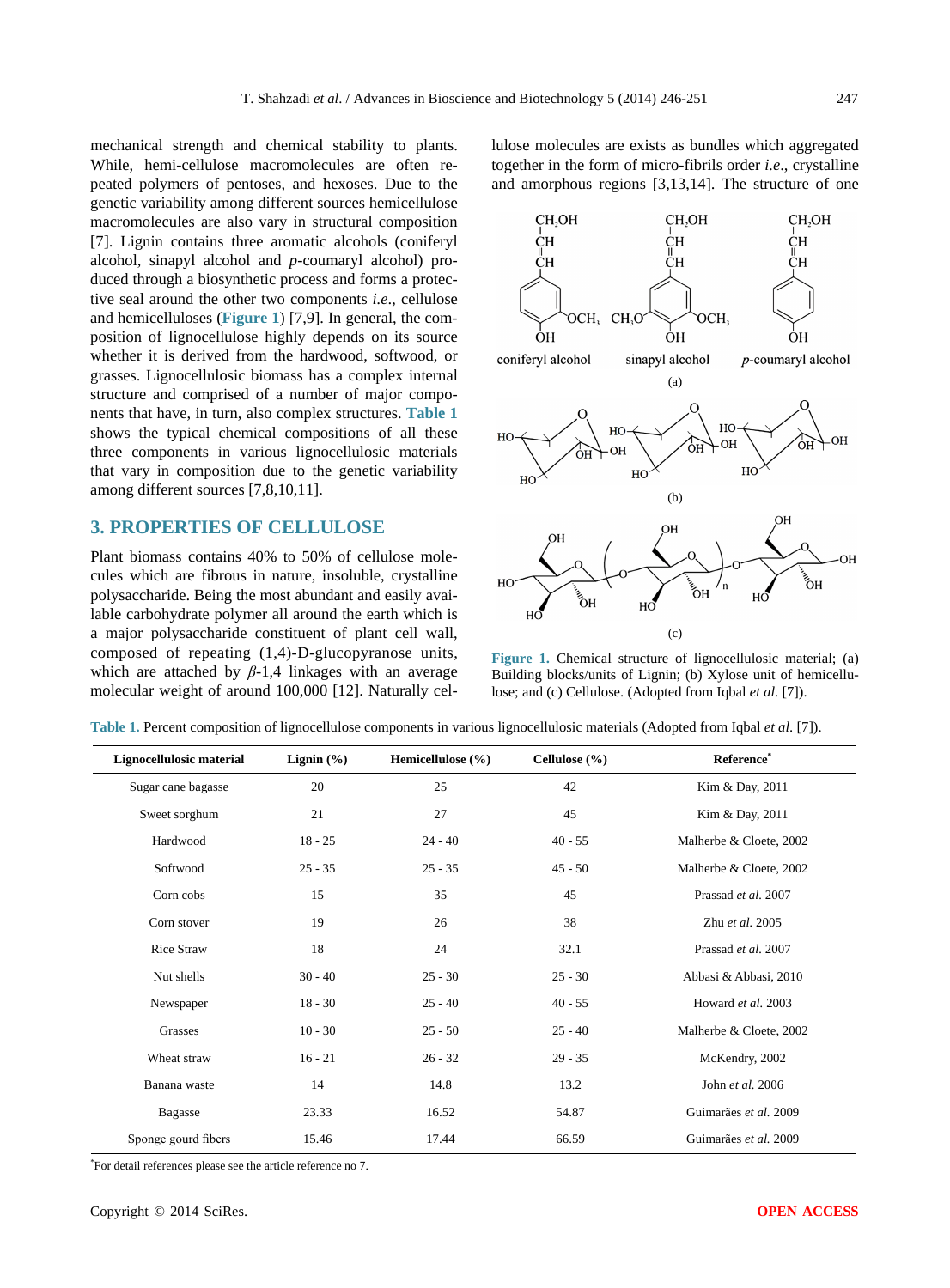mechanical strength and chemical stability to plants. While, hemi-cellulose macromolecules are often repeated polymers of pentoses, and hexoses. Due to the genetic variability among different sources hemicellulose macromolecules are also vary in structural composition [7]. Lignin contains three aromatic alcohols (coniferyl alcohol, sinapyl alcohol and *p*-coumaryl alcohol) produced through a biosynthetic process and forms a protective seal around the other two components *i.e*., cellulose and hemicelluloses (**[Figure 1](#page-1-0)**) [7,9]. In general, the composition of lignocellulose highly depends on its source whether it is derived from the hardwood, softwood, or grasses. Lignocellulosic biomass has a complex internal structure and comprised of a number of major components that have, in turn, also complex structures. **[Table 1](#page-1-1)** shows the typical chemical compositions of all these three components in various lignocellulosic materials that vary in composition due to the genetic variability among different sources [7,8,10,11].

#### **3. PROPERTIES OF CELLULOSE**

Plant biomass contains 40% to 50% of cellulose molecules which are fibrous in nature, insoluble, crystalline polysaccharide. Being the most abundant and easily available carbohydrate polymer all around the earth which is a major polysaccharide constituent of plant cell wall, composed of repeating (1,4)-D-glucopyranose units, which are attached by  $\beta$ -1,4 linkages with an average molecular weight of around 100,000 [12]. Naturally cellulose molecules are exists as bundles which aggregated together in the form of micro-fibrils order *i.e*., crystalline and amorphous regions [3,13,14]. The structure of one

<span id="page-1-0"></span>

**Figure 1.** Chemical structure of lignocellulosic material; (a) Building blocks/units of Lignin; (b) Xylose unit of hemicellulose; and (c) Cellulose. (Adopted from Iqbal *et al*. [7]).

| Lignocellulosic material | Lignin $(\% )$ | Hemicellulose (%) | Cellulose (%) | Reference*              |
|--------------------------|----------------|-------------------|---------------|-------------------------|
| Sugar cane bagasse       | 20             | 25                | 42            | Kim & Day, 2011         |
| Sweet sorghum            | 21             | 27                | 45            | Kim & Day, 2011         |
| Hardwood                 | $18 - 25$      | $24 - 40$         | $40 - 55$     | Malherbe & Cloete, 2002 |
| Softwood                 | $25 - 35$      | $25 - 35$         | $45 - 50$     | Malherbe & Cloete, 2002 |
| Corn cobs                | 15             | 35                | 45            | Prassad et al. 2007     |
| Corn stover              | 19             | 26                | 38            | Zhu et al. 2005         |
| <b>Rice Straw</b>        | 18             | 24                | 32.1          | Prassad et al. 2007     |
| Nut shells               | $30 - 40$      | $25 - 30$         | $25 - 30$     | Abbasi & Abbasi, 2010   |
| Newspaper                | $18 - 30$      | $25 - 40$         | $40 - 55$     | Howard et al. 2003      |
| Grasses                  | $10 - 30$      | $25 - 50$         | $25 - 40$     | Malherbe & Cloete, 2002 |
| Wheat straw              | $16 - 21$      | $26 - 32$         | $29 - 35$     | McKendry, 2002          |
| Banana waste             | 14             | 14.8              | 13.2          | John et al. 2006        |
| Bagasse                  | 23.33          | 16.52             | 54.87         | Guimarães et al. 2009   |
| Sponge gourd fibers      | 15.46          | 17.44             | 66.59         | Guimarães et al. 2009   |

<span id="page-1-1"></span>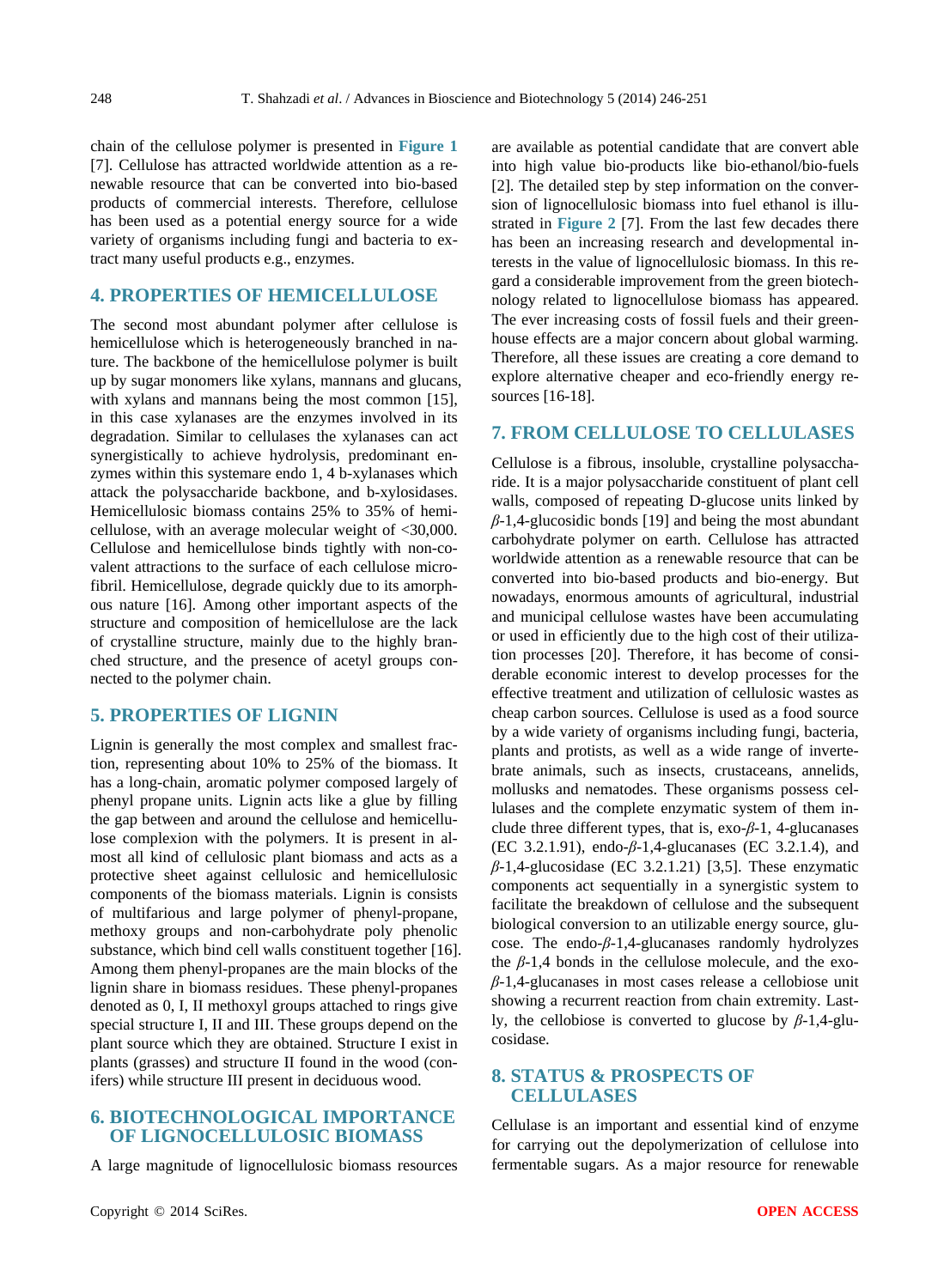chain of the cellulose polymer is presented in **[Figure 1](#page-1-0)** [7]. Cellulose has attracted worldwide attention as a renewable resource that can be converted into bio-based products of commercial interests. Therefore, cellulose has been used as a potential energy source for a wide variety of organisms including fungi and bacteria to extract many useful products e.g., enzymes.

## **4. PROPERTIES OF HEMICELLULOSE**

The second most abundant polymer after cellulose is hemicellulose which is heterogeneously branched in nature. The backbone of the hemicellulose polymer is built up by sugar monomers like xylans, mannans and glucans, with xylans and mannans being the most common [15], in this case xylanases are the enzymes involved in its degradation. Similar to cellulases the xylanases can act synergistically to achieve hydrolysis, predominant enzymes within this systemare endo 1, 4 b-xylanases which attack the polysaccharide backbone, and b-xylosidases. Hemicellulosic biomass contains 25% to 35% of hemicellulose, with an average molecular weight of <30,000. Cellulose and hemicellulose binds tightly with non-covalent attractions to the surface of each cellulose microfibril. Hemicellulose, degrade quickly due to its amorphous nature [16]. Among other important aspects of the structure and composition of hemicellulose are the lack of crystalline structure, mainly due to the highly branched structure, and the presence of acetyl groups connected to the polymer chain.

### **5. PROPERTIES OF LIGNIN**

Lignin is generally the most complex and smallest fraction, representing about 10% to 25% of the biomass. It has a long-chain, aromatic polymer composed largely of phenyl propane units. Lignin acts like a glue by filling the gap between and around the cellulose and hemicellulose complexion with the polymers. It is present in almost all kind of cellulosic plant biomass and acts as a protective sheet against cellulosic and hemicellulosic components of the biomass materials. Lignin is consists of multifarious and large polymer of phenyl-propane, methoxy groups and non-carbohydrate poly phenolic substance, which bind cell walls constituent together [16]. Among them phenyl-propanes are the main blocks of the lignin share in biomass residues. These phenyl-propanes denoted as 0, I, II methoxyl groups attached to rings give special structure I, II and III. These groups depend on the plant source which they are obtained. Structure I exist in plants (grasses) and structure II found in the wood (conifers) while structure III present in deciduous wood.

## **6. BIOTECHNOLOGICAL IMPORTANCE OF LIGNOCELLULOSIC BIOMASS**

A large magnitude of lignocellulosic biomass resources

are available as potential candidate that are convert able into high value bio-products like bio-ethanol/bio-fuels [2]. The detailed step by step information on the conversion of lignocellulosic biomass into fuel ethanol is illustrated in **[Figure 2](#page-3-0)** [7]. From the last few decades there has been an increasing research and developmental interests in the value of lignocellulosic biomass. In this regard a considerable improvement from the green biotechnology related to lignocellulose biomass has appeared. The ever increasing costs of fossil fuels and their greenhouse effects are a major concern about global warming. Therefore, all these issues are creating a core demand to explore alternative cheaper and eco-friendly energy resources [16-18].

#### **7. FROM CELLULOSE TO CELLULASES**

Cellulose is a fibrous, insoluble, crystalline polysaccharide. It is a major polysaccharide constituent of plant cell walls, composed of repeating D-glucose units linked by *β*-1,4-glucosidic bonds [19] and being the most abundant carbohydrate polymer on earth. Cellulose has attracted worldwide attention as a renewable resource that can be converted into bio-based products and bio-energy. But nowadays, enormous amounts of agricultural, industrial and municipal cellulose wastes have been accumulating or used in efficiently due to the high cost of their utilization processes [20]. Therefore, it has become of considerable economic interest to develop processes for the effective treatment and utilization of cellulosic wastes as cheap carbon sources. Cellulose is used as a food source by a wide variety of organisms including fungi, bacteria, plants and protists, as well as a wide range of invertebrate animals, such as insects, crustaceans, annelids, mollusks and nematodes. These organisms possess cellulases and the complete enzymatic system of them include three different types, that is, exo-*β*-1, 4-glucanases (EC 3.2.1.91), endo-*β*-1,4-glucanases (EC 3.2.1.4), and *β*-1,4-glucosidase (EC 3.2.1.21) [3,5]. These enzymatic components act sequentially in a synergistic system to facilitate the breakdown of cellulose and the subsequent biological conversion to an utilizable energy source, glucose. The endo-*β*-1,4-glucanases randomly hydrolyzes the *β*-1,4 bonds in the cellulose molecule, and the exo*β*-1,4-glucanases in most cases release a cellobiose unit showing a recurrent reaction from chain extremity. Lastly, the cellobiose is converted to glucose by *β*-1,4-glucosidase.

#### **8. STATUS & PROSPECTS OF CELLULASES**

Cellulase is an important and essential kind of enzyme for carrying out the depolymerization of cellulose into fermentable sugars. As a major resource for renewable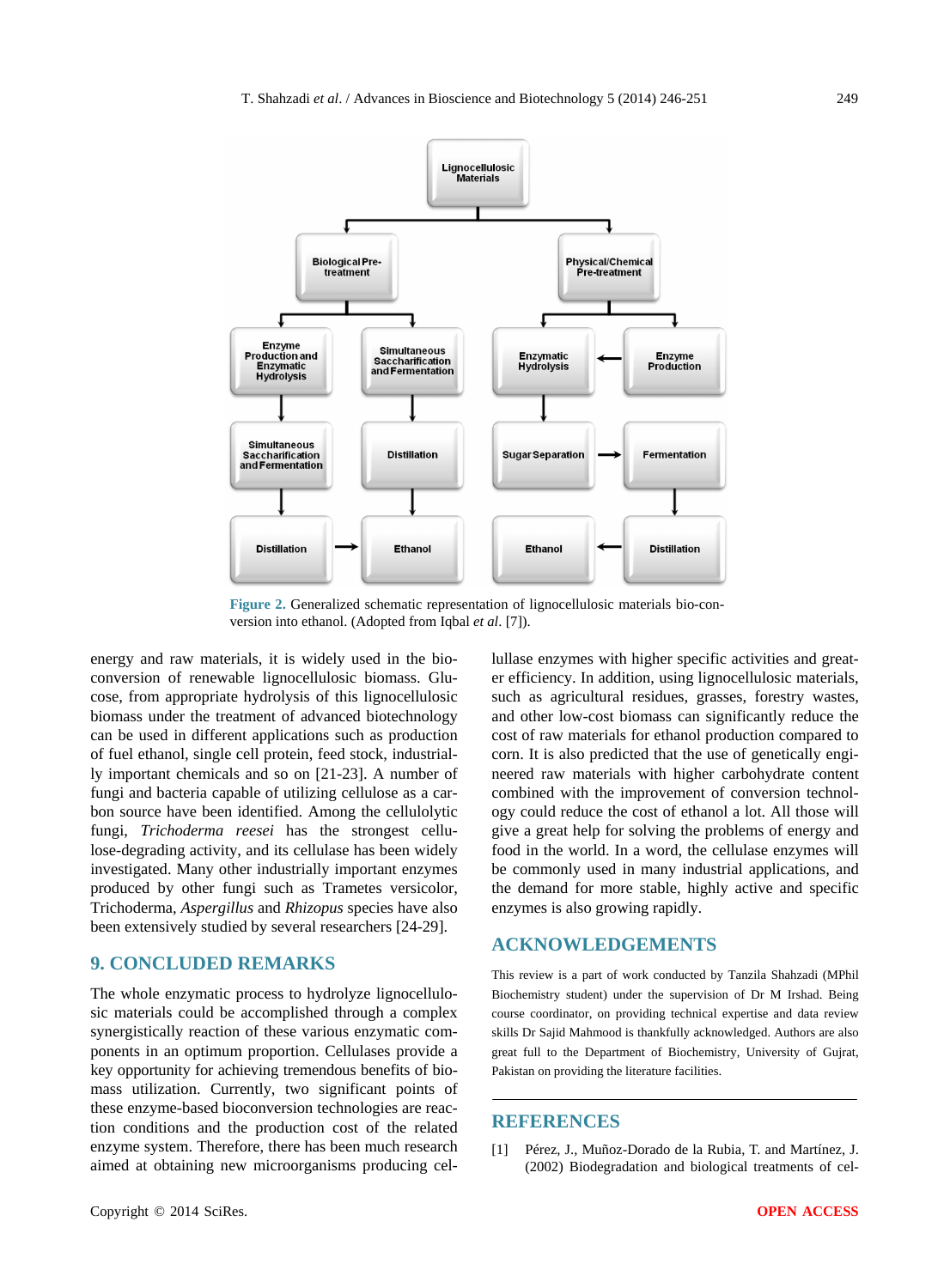<span id="page-3-0"></span>

**Figure 2.** Generalized schematic representation of lignocellulosic materials bio-conversion into ethanol. (Adopted from Iqbal *et al*. [7]).

energy and raw materials, it is widely used in the bioconversion of renewable lignocellulosic biomass. Glucose, from appropriate hydrolysis of this lignocellulosic biomass under the treatment of advanced biotechnology can be used in different applications such as production of fuel ethanol, single cell protein, feed stock, industrially important chemicals and so on [21-23]. A number of fungi and bacteria capable of utilizing cellulose as a carbon source have been identified. Among the cellulolytic fungi, *Trichoderma reesei* has the strongest cellulose-degrading activity, and its cellulase has been widely investigated. Many other industrially important enzymes produced by other fungi such as Trametes versicolor, Trichoderma, *Aspergillus* and *Rhizopus* species have also been extensively studied by several researchers [24-29].

#### **9. CONCLUDED REMARKS**

The whole enzymatic process to hydrolyze lignocellulosic materials could be accomplished through a complex synergistically reaction of these various enzymatic components in an optimum proportion. Cellulases provide a key opportunity for achieving tremendous benefits of biomass utilization. Currently, two significant points of these enzyme-based bioconversion technologies are reaction conditions and the production cost of the related enzyme system. Therefore, there has been much research aimed at obtaining new microorganisms producing cellullase enzymes with higher specific activities and greater efficiency. In addition, using lignocellulosic materials, such as agricultural residues, grasses, forestry wastes, and other low-cost biomass can significantly reduce the cost of raw materials for ethanol production compared to corn. It is also predicted that the use of genetically engineered raw materials with higher carbohydrate content combined with the improvement of conversion technology could reduce the cost of ethanol a lot. All those will give a great help for solving the problems of energy and food in the world. In a word, the cellulase enzymes will be commonly used in many industrial applications, and the demand for more stable, highly active and specific enzymes is also growing rapidly.

#### **ACKNOWLEDGEMENTS**

This review is a part of work conducted by Tanzila Shahzadi (MPhil Biochemistry student) under the supervision of Dr M Irshad. Being course coordinator, on providing technical expertise and data review skills Dr Sajid Mahmood is thankfully acknowledged. Authors are also great full to the Department of Biochemistry, University of Gujrat, Pakistan on providing the literature facilities.

#### **REFERENCES**

[1] Pérez, J., Muñoz-Dorado de la Rubia, T. and Martínez, J. (2002) Biodegradation and biological treatments of cel-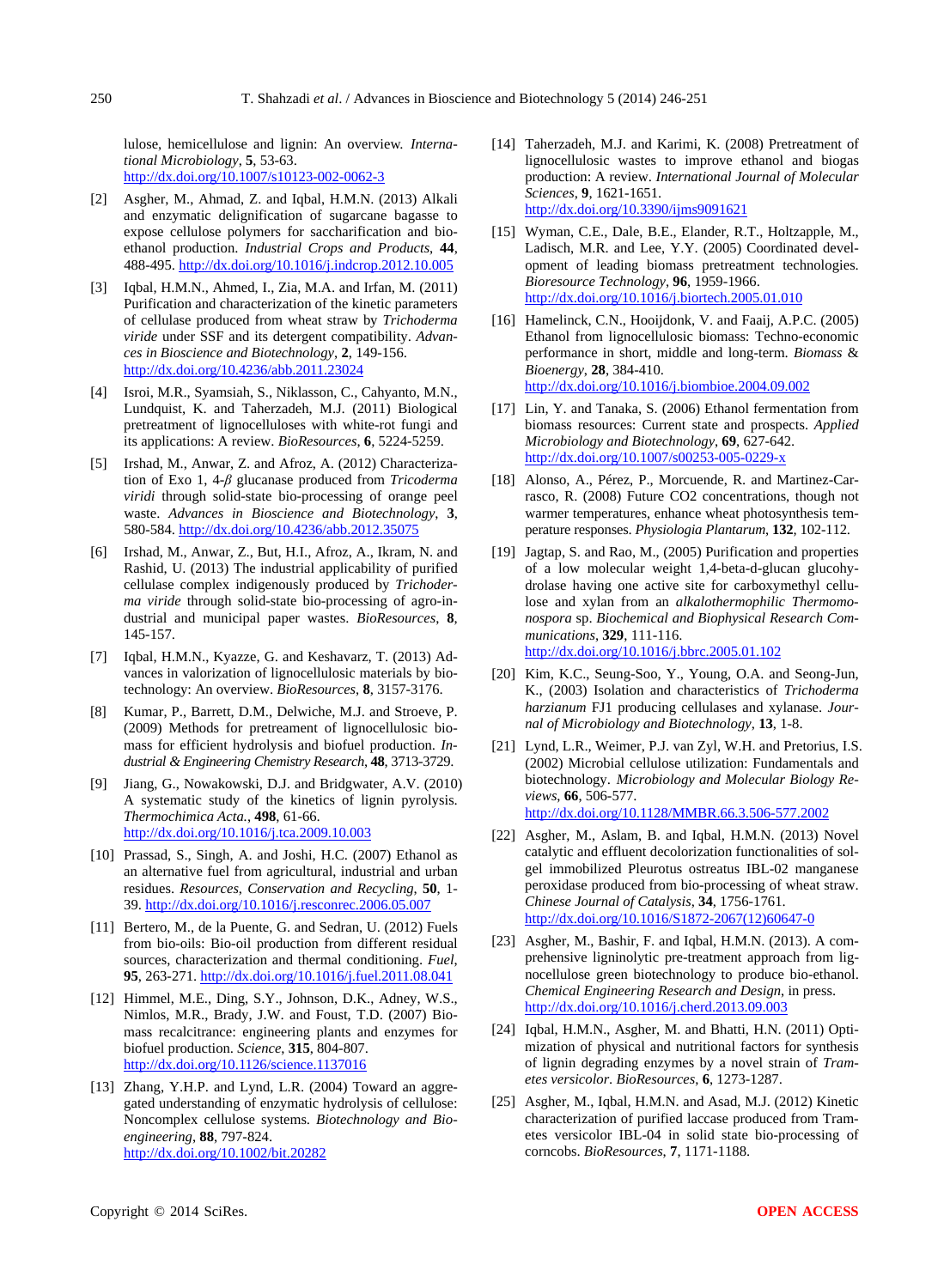lulose, hemicellulose and lignin: An overview. *International Microbiology*, **5**, 53-63. <http://dx.doi.org/10.1007/s10123-002-0062-3>

- [2] Asgher, M., Ahmad, Z. and Iqbal, H.M.N. (2013) Alkali and enzymatic delignification of sugarcane bagasse to expose cellulose polymers for saccharification and bioethanol production. *Industrial Crops and Products*, **44**, 488-495. <http://dx.doi.org/10.1016/j.indcrop.2012.10.005>
- [3] Iqbal, H.M.N., Ahmed, I., Zia, M.A. and Irfan, M. (2011) Purification and characterization of the kinetic parameters of cellulase produced from wheat straw by *Trichoderma viride* under SSF and its detergent compatibility. *Advances in Bioscience and Biotechnology*, **2**, 149-156. <http://dx.doi.org/10.4236/abb.2011.23024>
- [4] Isroi, M.R., Syamsiah, S., Niklasson, C., Cahyanto, M.N., Lundquist, K. and Taherzadeh, M.J. (2011) Biological pretreatment of lignocelluloses with white-rot fungi and its applications: A review. *BioResources*, **6**, 5224-5259.
- [5] Irshad, M., Anwar, Z. and Afroz, A. (2012) Characterization of Exo 1, 4-*β* glucanase produced from *Tricoderma viridi* through solid-state bio-processing of orange peel waste. *Advances in Bioscience and Biotechnology*, **3**, 580-584. <http://dx.doi.org/10.4236/abb.2012.35075>
- [6] Irshad, M., Anwar, Z., But, H.I., Afroz, A., Ikram, N. and Rashid, U. (2013) The industrial applicability of purified cellulase complex indigenously produced by *Trichoderma viride* through solid-state bio-processing of agro-industrial and municipal paper wastes. *BioResources*, **8**, 145-157.
- [7] Iqbal, H.M.N., Kyazze, G. and Keshavarz, T. (2013) Advances in valorization of lignocellulosic materials by biotechnology: An overview. *BioResources*, **8**, 3157-3176.
- Kumar, P., Barrett, D.M., Delwiche, M.J. and Stroeve, P. (2009) Methods for pretreament of lignocellulosic biomass for efficient hydrolysis and biofuel production. *Industrial & Engineering Chemistry Research*, **48**, 3713-3729.
- [9] Jiang, G., Nowakowski, D.J. and Bridgwater, A.V. (2010) A systematic study of the kinetics of lignin pyrolysis. *Thermochimica Acta.*, **498**, 61-66. <http://dx.doi.org/10.1016/j.tca.2009.10.003>
- [10] Prassad, S., Singh, A. and Joshi, H.C. (2007) Ethanol as an alternative fuel from agricultural, industrial and urban residues. *Resources*, *Conservation and Recycling*, **50**, 1- 39. <http://dx.doi.org/10.1016/j.resconrec.2006.05.007>
- [11] Bertero, M., de la Puente, G. and Sedran, U. (2012) Fuels from bio-oils: Bio-oil production from different residual sources, characterization and thermal conditioning. *Fuel*, **95**, 263-271. <http://dx.doi.org/10.1016/j.fuel.2011.08.041>
- [12] Himmel, M.E., Ding, S.Y., Johnson, D.K., Adney, W.S., Nimlos, M.R., Brady, J.W. and Foust, T.D. (2007) Biomass recalcitrance: engineering plants and enzymes for biofuel production. *Science*, **315**, 804-807. <http://dx.doi.org/10.1126/science.1137016>
- [13] Zhang, Y.H.P. and Lynd, L.R. (2004) Toward an aggregated understanding of enzymatic hydrolysis of cellulose: Noncomplex cellulose systems. *Biotechnology and Bioengineering*, **88**, 797-824. <http://dx.doi.org/10.1002/bit.20282>
- [14] Taherzadeh, M.J. and Karimi, K. (2008) Pretreatment of lignocellulosic wastes to improve ethanol and biogas production: A review. *International Journal of Molecular Sciences*, **9**, 1621-1651. <http://dx.doi.org/10.3390/ijms9091621>
- [15] Wyman, C.E., Dale, B.E., Elander, R.T., Holtzapple, M., Ladisch, M.R. and Lee, Y.Y. (2005) Coordinated development of leading biomass pretreatment technologies. *Bioresource Technology*, **96**, 1959-1966. <http://dx.doi.org/10.1016/j.biortech.2005.01.010>
- [16] Hamelinck, C.N., Hooijdonk, V. and Faaij, A.P.C. (2005) Ethanol from lignocellulosic biomass: Techno-economic performance in short, middle and long-term. *Biomass* & *Bioenergy*, **28**, 384-410. <http://dx.doi.org/10.1016/j.biombioe.2004.09.002>
- [17] Lin, Y. and Tanaka, S. (2006) Ethanol fermentation from biomass resources: Current state and prospects. *Applied Microbiology and Biotechnology*, **69**, 627-642. <http://dx.doi.org/10.1007/s00253-005-0229-x>
- [18] Alonso, A., Pérez, P., Morcuende, R. and Martinez-Carrasco, R. (2008) Future CO2 concentrations, though not warmer temperatures, enhance wheat photosynthesis temperature responses. *Physiologia Plantarum*, **132**, 102-112.
- [19] Jagtap, S. and Rao, M., (2005) Purification and properties of a low molecular weight 1,4-beta-d-glucan glucohydrolase having one active site for carboxymethyl cellulose and xylan from an *alkalothermophilic Thermomonospora* sp. *Biochemical and Biophysical Research Communications*, **329**, 111-116. <http://dx.doi.org/10.1016/j.bbrc.2005.01.102>
- [20] Kim, K.C., Seung-Soo, Y., Young, O.A. and Seong-Jun, K., (2003) Isolation and characteristics of *Trichoderma harzianum* FJ1 producing cellulases and xylanase. *Journal of Microbiology and Biotechnology*, **13**, 1-8.
- [21] Lynd, L.R., Weimer, P.J. van Zyl, W.H. and Pretorius, I.S. (2002) Microbial cellulose utilization: Fundamentals and biotechnology. *Microbiology and Molecular Biology Reviews*, **66**, 506-577. <http://dx.doi.org/10.1128/MMBR.66.3.506-577.2002>
- [22] Asgher, M., Aslam, B. and Iqbal, H.M.N. (2013) Novel catalytic and effluent decolorization functionalities of solgel immobilized Pleurotus ostreatus IBL-02 manganese peroxidase produced from bio-processing of wheat straw. *Chinese Journal of Catalysis*, **34**, 1756-1761. [http://dx.doi.org/10.1016/S1872-2067\(12\)60647-0](http://dx.doi.org/10.1016/S1872-2067(12)60647-0)
- [23] Asgher, M., Bashir, F. and Iqbal, H.M.N. (2013). A comprehensive ligninolytic pre-treatment approach from lignocellulose green biotechnology to produce bio-ethanol. *Chemical Engineering Research and Design*, in press. <http://dx.doi.org/10.1016/j.cherd.2013.09.003>
- [24] Iqbal, H.M.N., Asgher, M. and Bhatti, H.N. (2011) Optimization of physical and nutritional factors for synthesis of lignin degrading enzymes by a novel strain of *Trametes versicolor*. *BioResources*, **6**, 1273-1287.
- [25] Asgher, M., Iqbal, H.M.N. and Asad, M.J. (2012) Kinetic characterization of purified laccase produced from Trametes versicolor IBL-04 in solid state bio-processing of corncobs. *BioResources*, **7**, 1171-1188.